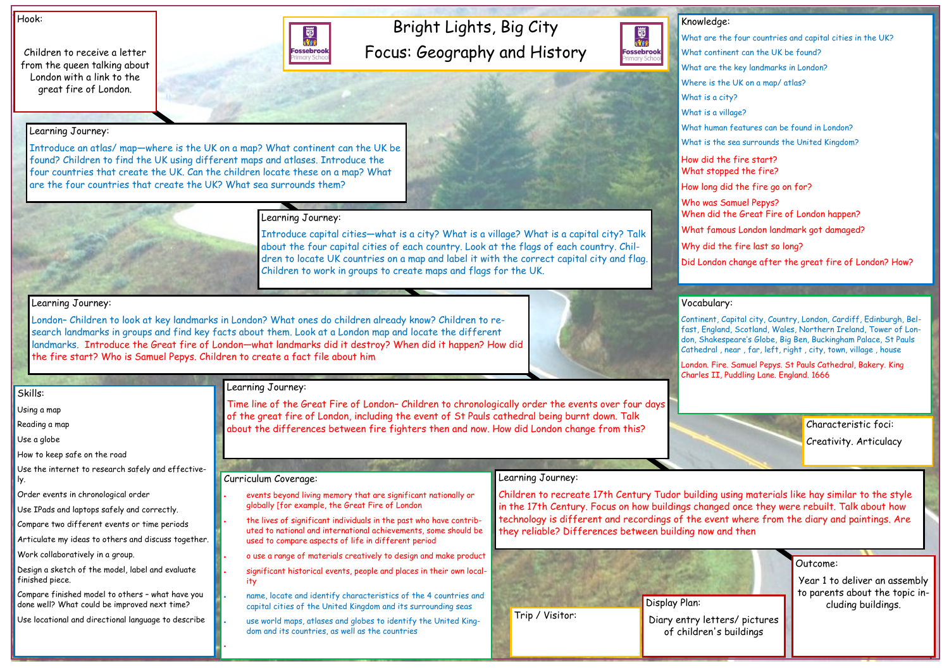# Bright Lights, Big City Focus: Geography and History

蜀池 **Fossebrook** 

How did What sto How long Who was When did What fa Why did

#### Hook:

Children to receive a letter from the queen talking about London with a link to the great fire of London.

#### Outcome:

Year 1 to deliver an assembly to parents about the topic including buildings.

| Knowledge:                                                         |
|--------------------------------------------------------------------|
| What are the four countries and capital cities in the UK?          |
| What continent can the UK be found?                                |
| What are the key landmarks in London?                              |
| Where is the UK on a map/atlas?                                    |
| What is a city?                                                    |
| What is a village?                                                 |
| What human features can be found in London?                        |
| What is the sea surrounds the United Kingdom?                      |
| How did the fire start?<br>What stopped the fire?                  |
| How long did the fire go on for?                                   |
| Who was Samuel Pepys?<br>When did the Great Fire of London happen? |
| What famous London landmark got damaged?                           |
| Why did the fire last so long?                                     |
| Did London change after the great fire of London? How?             |

Skills:

Using a map

Reading a map

Use a globe

How to keep safe on the road

Use the internet to research safely and effectively.

Order events in chronological order

Use IPads and laptops safely and correctly.

Compare two different events or time periods

Articulate my ideas to others and discuss together.

Work collaboratively in a group.

Design a sketch of the model, label and evaluate finished piece.

Compare finished model to others – what have you done well? What could be improved next time?

Use locational and directional language to describe

Learning Journey:



Introduce an atlas/ map—where is the UK on a map? What continent can the UK be found? Children to find the UK using different maps and atlases. Introduce the four countries that create the UK. Can the children locate these on a map? What

are the four countries that create the UK? What sea surrounds them?

the lives of significant individuals in the past who have contributed to national and international achievements, some should be used to compare aspects of life in different period

### Learning Journey:

Introduce capital cities—what is a city? What is a village? What is a capital city? Talk about the four capital cities of each country. Look at the flags of each country. Children to locate UK countries on a map and label it with the correct capital city and flag. Children to work in groups to create maps and flags for the UK.

#### Learning Journey:

London– Children to look at key landmarks in London? What ones do children already know? Children to research landmarks in groups and find key facts about them. Look at a London map and locate the different landmarks. Introduce the Great fire of London—what landmarks did it destroy? When did it happen? How did the fire start? Who is Samuel Pepys. Children to create a fact file about him

## Learning Journey:

Time line of the Great Fire of London– Children to chronologically order the events over four days of the great fire of London, including the event of St Pauls cathedral being burnt down. Talk about the differences between fire fighters then and now. How did London change from this?

#### Learning Journey:

Children to recreate 17th Century Tudor building using materials like hay similar to the style in the 17th Century. Focus on how buildings changed once they were rebuilt. Talk about how technology is different and recordings of the event where from the diary and paintings. Are they reliable? Differences between building now and then

### Curriculum Coverage:

• events beyond living memory that are significant nationally or globally [for example, the Great Fire of London

- o use a range of materials creatively to design and make product
- significant historical events, people and places in their own locality
- name, locate and identify characteristics of the 4 countries and capital cities of the United Kingdom and its surrounding seas
- use world maps, atlases and globes to identify the United Kingdom and its countries, as well as the countries

•



Continent, Capital city, Country, London, Cardiff, Edinburgh, Belfast, England, Scotland, Wales, Northern Ireland, Tower of London, Shakespeare's Globe, Big Ben, Buckingham Palace, St Pauls Cathedral , near , far, left, right , city, town, village , house



London. Fire. Samuel Pepys. St Pauls Cathedral, Bakery. King Charles II, Puddling Lane. England. 1666





Characteristic foci: Creativity. Articulacy